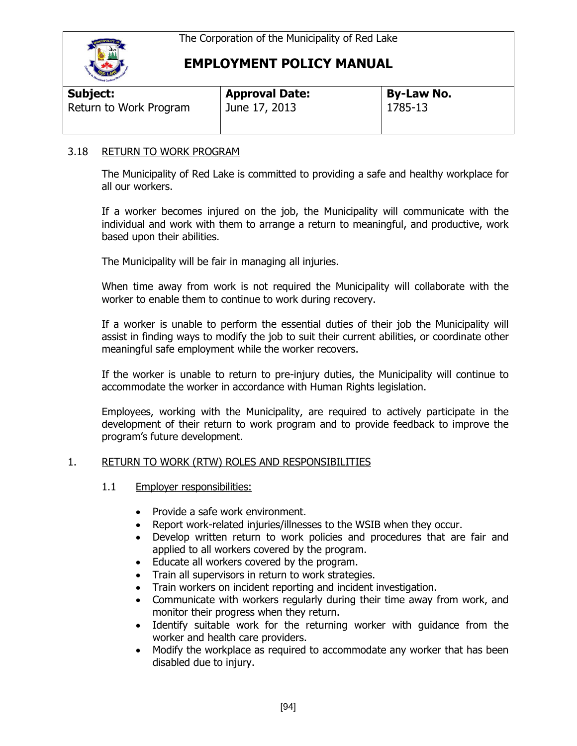

| <b>Subject:</b>        | <b>Approval Date:</b> | <b>By-Law No.</b> |  |
|------------------------|-----------------------|-------------------|--|
| Return to Work Program | June 17, 2013         | 1785-13           |  |

#### 3.18 RETURN TO WORK PROGRAM

The Municipality of Red Lake is committed to providing a safe and healthy workplace for all our workers.

If a worker becomes injured on the job, the Municipality will communicate with the individual and work with them to arrange a return to meaningful, and productive, work based upon their abilities.

The Municipality will be fair in managing all injuries.

When time away from work is not required the Municipality will collaborate with the worker to enable them to continue to work during recovery.

If a worker is unable to perform the essential duties of their job the Municipality will assist in finding ways to modify the job to suit their current abilities, or coordinate other meaningful safe employment while the worker recovers.

If the worker is unable to return to pre-injury duties, the Municipality will continue to accommodate the worker in accordance with Human Rights legislation.

Employees, working with the Municipality, are required to actively participate in the development of their return to work program and to provide feedback to improve the program's future development.

#### 1. RETURN TO WORK (RTW) ROLES AND RESPONSIBILITIES

- 1.1 Employer responsibilities:
	- Provide a safe work environment.
	- Report work-related injuries/illnesses to the WSIB when they occur.
	- Develop written return to work policies and procedures that are fair and applied to all workers covered by the program.
	- Educate all workers covered by the program.
	- Train all supervisors in return to work strategies.
	- Train workers on incident reporting and incident investigation.
	- Communicate with workers regularly during their time away from work, and monitor their progress when they return.
	- Identify suitable work for the returning worker with guidance from the worker and health care providers.
	- Modify the workplace as required to accommodate any worker that has been disabled due to injury.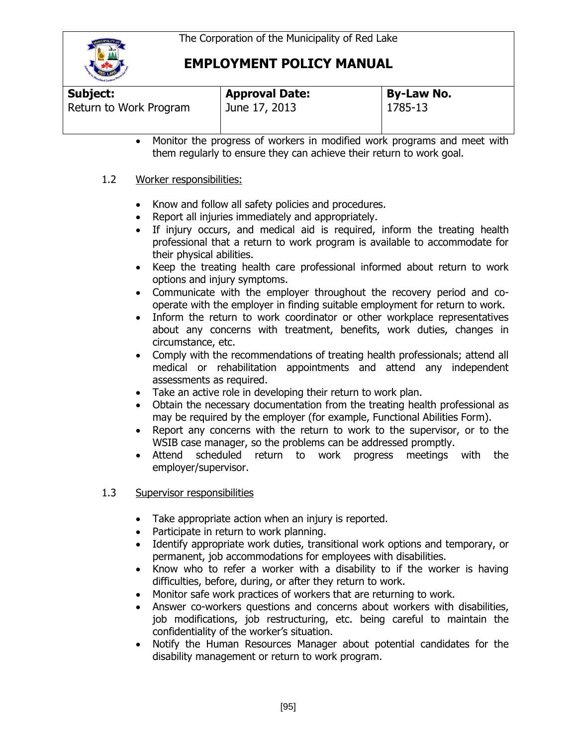

| Subject:               | <b>Approval Date:</b> | <b>By-Law No.</b> |  |
|------------------------|-----------------------|-------------------|--|
| Return to Work Program | June 17, 2013         | 1785-13           |  |

 Monitor the progress of workers in modified work programs and meet with them regularly to ensure they can achieve their return to work goal.

#### 1.2 Worker responsibilities:

- Know and follow all safety policies and procedures.
- Report all injuries immediately and appropriately.
- If injury occurs, and medical aid is required, inform the treating health professional that a return to work program is available to accommodate for their physical abilities.
- Keep the treating health care professional informed about return to work options and injury symptoms.
- Communicate with the employer throughout the recovery period and cooperate with the employer in finding suitable employment for return to work.
- Inform the return to work coordinator or other workplace representatives about any concerns with treatment, benefits, work duties, changes in circumstance, etc.
- Comply with the recommendations of treating health professionals; attend all medical or rehabilitation appointments and attend any independent assessments as required.
- Take an active role in developing their return to work plan.
- Obtain the necessary documentation from the treating health professional as may be required by the employer (for example, Functional Abilities Form).
- Report any concerns with the return to work to the supervisor, or to the WSIB case manager, so the problems can be addressed promptly.
- Attend scheduled return to work progress meetings with the employer/supervisor.

#### 1.3 Supervisor responsibilities

- Take appropriate action when an injury is reported.
- Participate in return to work planning.
- Identify appropriate work duties, transitional work options and temporary, or permanent, job accommodations for employees with disabilities.
- Know who to refer a worker with a disability to if the worker is having difficulties, before, during, or after they return to work.
- Monitor safe work practices of workers that are returning to work.
- Answer co-workers questions and concerns about workers with disabilities, job modifications, job restructuring, etc. being careful to maintain the confidentiality of the worker's situation.
- Notify the Human Resources Manager about potential candidates for the disability management or return to work program.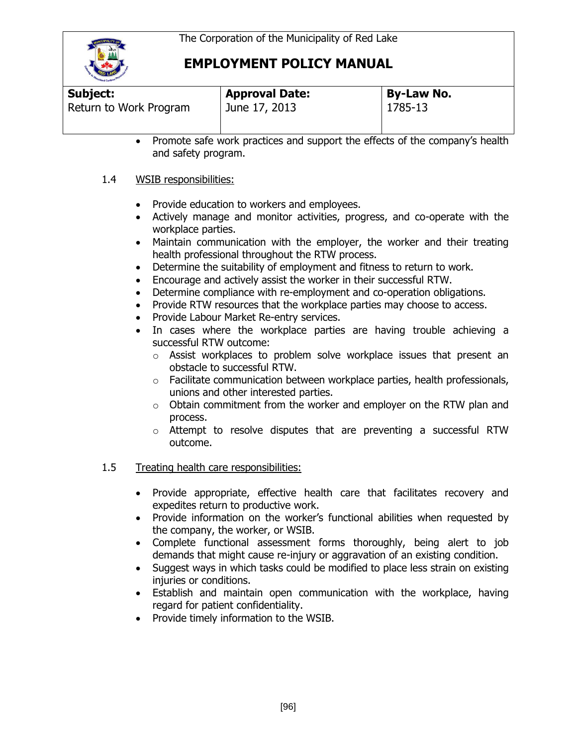

| <b>THE REAL PROPERTY AND INCOME.</b> |                       |                   |  |
|--------------------------------------|-----------------------|-------------------|--|
| Subject:                             | <b>Approval Date:</b> | <b>By-Law No.</b> |  |
| Return to Work Program               | June 17, 2013         | 1785-13           |  |

 Promote safe work practices and support the effects of the company's health and safety program.

#### 1.4 WSIB responsibilities:

- Provide education to workers and employees.
- Actively manage and monitor activities, progress, and co-operate with the workplace parties.
- Maintain communication with the employer, the worker and their treating health professional throughout the RTW process.
- Determine the suitability of employment and fitness to return to work.
- Encourage and actively assist the worker in their successful RTW.
- Determine compliance with re-employment and co-operation obligations.
- Provide RTW resources that the workplace parties may choose to access.
- Provide Labour Market Re-entry services.
- In cases where the workplace parties are having trouble achieving a successful RTW outcome:
	- o Assist workplaces to problem solve workplace issues that present an obstacle to successful RTW.
	- $\circ$  Facilitate communication between workplace parties, health professionals, unions and other interested parties.
	- o Obtain commitment from the worker and employer on the RTW plan and process.
	- o Attempt to resolve disputes that are preventing a successful RTW outcome.

#### 1.5 Treating health care responsibilities:

- Provide appropriate, effective health care that facilitates recovery and expedites return to productive work.
- Provide information on the worker's functional abilities when requested by the company, the worker, or WSIB.
- Complete functional assessment forms thoroughly, being alert to job demands that might cause re-injury or aggravation of an existing condition.
- Suggest ways in which tasks could be modified to place less strain on existing injuries or conditions.
- Establish and maintain open communication with the workplace, having regard for patient confidentiality.
- Provide timely information to the WSIB.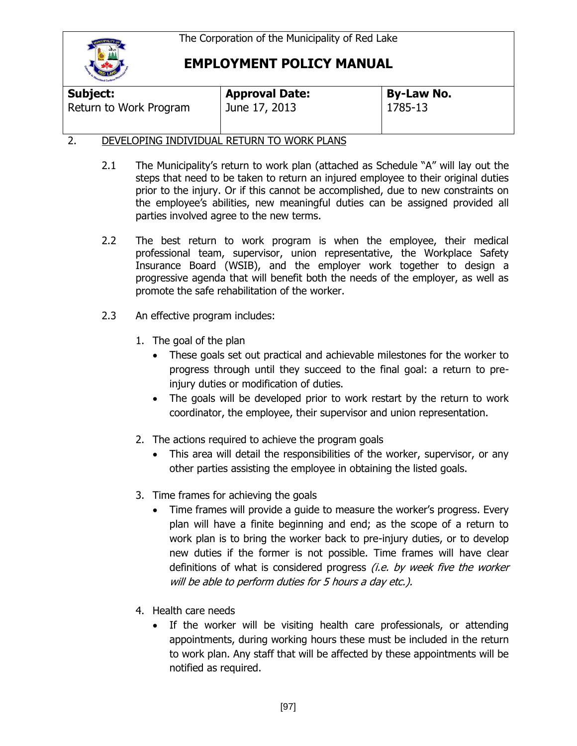

| <b>Poolign Caribourne</b> |                       |                   |
|---------------------------|-----------------------|-------------------|
| Subject:                  | <b>Approval Date:</b> | <b>By-Law No.</b> |
| Return to Work Program    | June 17, 2013         | 1785-13           |

#### 2. DEVELOPING INDIVIDUAL RETURN TO WORK PLANS

- 2.1 The Municipality's return to work plan (attached as Schedule "A" will lay out the steps that need to be taken to return an injured employee to their original duties prior to the injury. Or if this cannot be accomplished, due to new constraints on the employee's abilities, new meaningful duties can be assigned provided all parties involved agree to the new terms.
- 2.2 The best return to work program is when the employee, their medical professional team, supervisor, union representative, the Workplace Safety Insurance Board (WSIB), and the employer work together to design a progressive agenda that will benefit both the needs of the employer, as well as promote the safe rehabilitation of the worker.
- 2.3 An effective program includes:
	- 1. The goal of the plan
		- These goals set out practical and achievable milestones for the worker to progress through until they succeed to the final goal: a return to preinjury duties or modification of duties.
		- The goals will be developed prior to work restart by the return to work coordinator, the employee, their supervisor and union representation.
	- 2. The actions required to achieve the program goals
		- This area will detail the responsibilities of the worker, supervisor, or any other parties assisting the employee in obtaining the listed goals.
	- 3. Time frames for achieving the goals
		- Time frames will provide a guide to measure the worker's progress. Every plan will have a finite beginning and end; as the scope of a return to work plan is to bring the worker back to pre-injury duties, or to develop new duties if the former is not possible. Time frames will have clear definitions of what is considered progress *(i.e. by week five the worker* will be able to perform duties for 5 hours a day etc.).
	- 4. Health care needs
		- If the worker will be visiting health care professionals, or attending appointments, during working hours these must be included in the return to work plan. Any staff that will be affected by these appointments will be notified as required.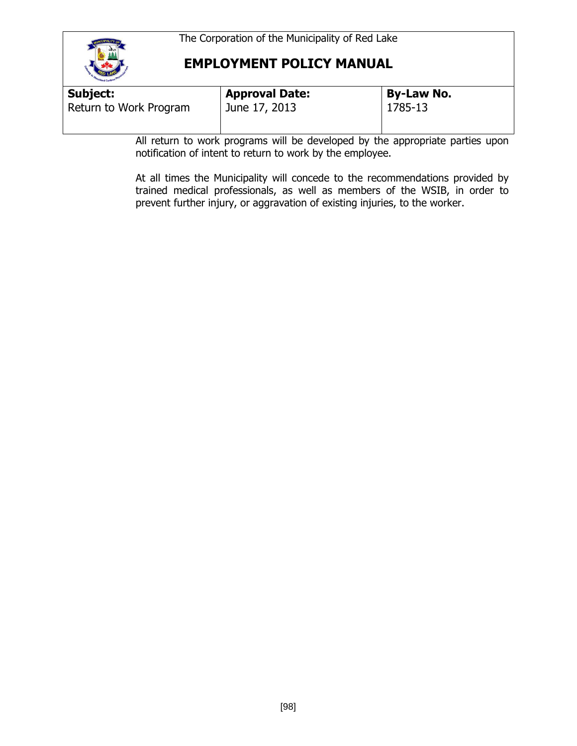

| <b>Subject:</b><br><b>Approval Date:</b> | <b>By-Law No.</b> |
|------------------------------------------|-------------------|
| Return to Work Program<br>June 17, 2013  | 1785-13           |

All return to work programs will be developed by the appropriate parties upon notification of intent to return to work by the employee.

At all times the Municipality will concede to the recommendations provided by trained medical professionals, as well as members of the WSIB, in order to prevent further injury, or aggravation of existing injuries, to the worker.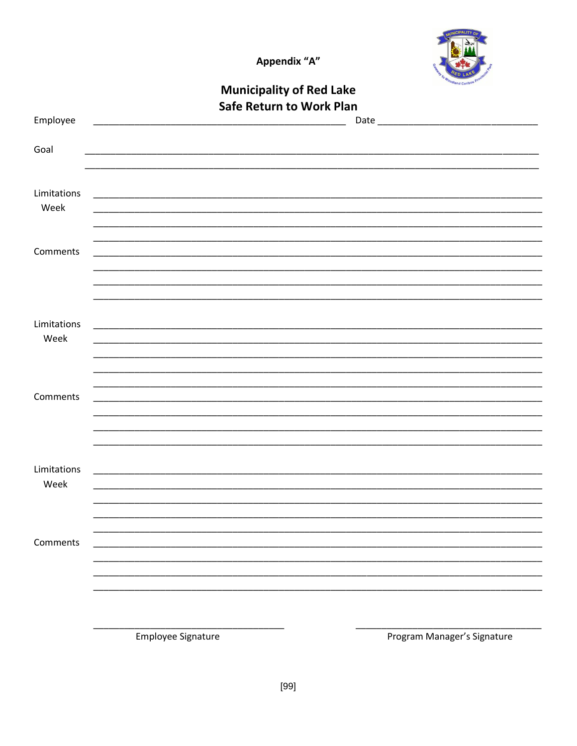Appendix "A"



|             |                                                                                                                          | <b>Municipality of Red Lake</b> | <b>Hand Caribus</b>         |
|-------------|--------------------------------------------------------------------------------------------------------------------------|---------------------------------|-----------------------------|
|             |                                                                                                                          | <b>Safe Return to Work Plan</b> |                             |
| Employee    | <u> 1989 - Johann John Stoff, deutscher Stoffen und der Stoffen und der Stoffen und der Stoffen und der Stoffen u</u>    |                                 |                             |
| Goal        |                                                                                                                          |                                 |                             |
|             |                                                                                                                          |                                 |                             |
| Limitations | <u> 2000 - Jan Alexandro Alexandro Alexandro Alexandro Alexandro Alexandro Alexandro Alexandro Alexandro Alexandro A</u> |                                 |                             |
| Week        |                                                                                                                          |                                 |                             |
|             |                                                                                                                          |                                 |                             |
| Comments    |                                                                                                                          |                                 |                             |
|             |                                                                                                                          |                                 |                             |
|             |                                                                                                                          |                                 |                             |
| Limitations |                                                                                                                          |                                 |                             |
| Week        |                                                                                                                          |                                 |                             |
|             |                                                                                                                          |                                 |                             |
| Comments    |                                                                                                                          |                                 |                             |
|             |                                                                                                                          |                                 |                             |
|             |                                                                                                                          |                                 |                             |
| Limitations |                                                                                                                          |                                 |                             |
| Week        |                                                                                                                          |                                 |                             |
|             |                                                                                                                          |                                 |                             |
| Comments    |                                                                                                                          |                                 |                             |
|             |                                                                                                                          |                                 |                             |
|             |                                                                                                                          |                                 |                             |
|             |                                                                                                                          |                                 |                             |
|             | Employee Signature                                                                                                       |                                 | Program Manager's Signature |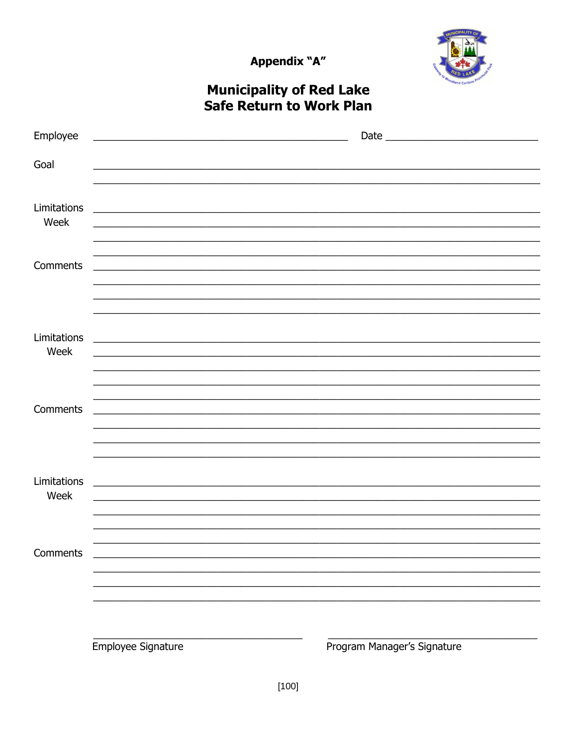Appendix "A"



# **Municipality of Red Lake<br>Safe Return to Work Plan**

| Employee    | <u> 1989 - Johann Stoff, Amerikaansk politiker (* 1908)</u>                                                           |                             |
|-------------|-----------------------------------------------------------------------------------------------------------------------|-----------------------------|
|             |                                                                                                                       |                             |
| Goal        |                                                                                                                       |                             |
|             |                                                                                                                       |                             |
| Limitations | <u> 1989 - Jan Samuel Barbara, margaret eta biztanleria (h. 1989).</u>                                                |                             |
| Week        |                                                                                                                       |                             |
|             |                                                                                                                       |                             |
|             |                                                                                                                       |                             |
| Comments    |                                                                                                                       |                             |
|             |                                                                                                                       |                             |
|             |                                                                                                                       |                             |
|             |                                                                                                                       |                             |
| Limitations |                                                                                                                       |                             |
| Week        | <u> 1980 - Jan Barbara Barat, margaret eta biztanleria (h. 1980).</u>                                                 |                             |
|             |                                                                                                                       |                             |
|             |                                                                                                                       |                             |
|             | <u> 1989 - Johann Harry Harry Harry Harry Harry Harry Harry Harry Harry Harry Harry Harry Harry Harry Harry Harry</u> |                             |
| Comments    | <u> 1989 - Johann Barbara, markazar margolaria (h. 1989).</u>                                                         |                             |
|             |                                                                                                                       |                             |
|             |                                                                                                                       |                             |
|             |                                                                                                                       |                             |
| Limitations |                                                                                                                       |                             |
| Week        | <u> 1989 - Jan James James, martin amerikan basar dan berasal dalam berasal dalam basa dalam berasal dalam berasa</u> |                             |
|             |                                                                                                                       |                             |
|             |                                                                                                                       |                             |
|             |                                                                                                                       |                             |
| Comments    |                                                                                                                       |                             |
|             |                                                                                                                       |                             |
|             |                                                                                                                       |                             |
|             |                                                                                                                       |                             |
|             |                                                                                                                       |                             |
|             |                                                                                                                       |                             |
|             | Employee Signature                                                                                                    | Program Manager's Signature |